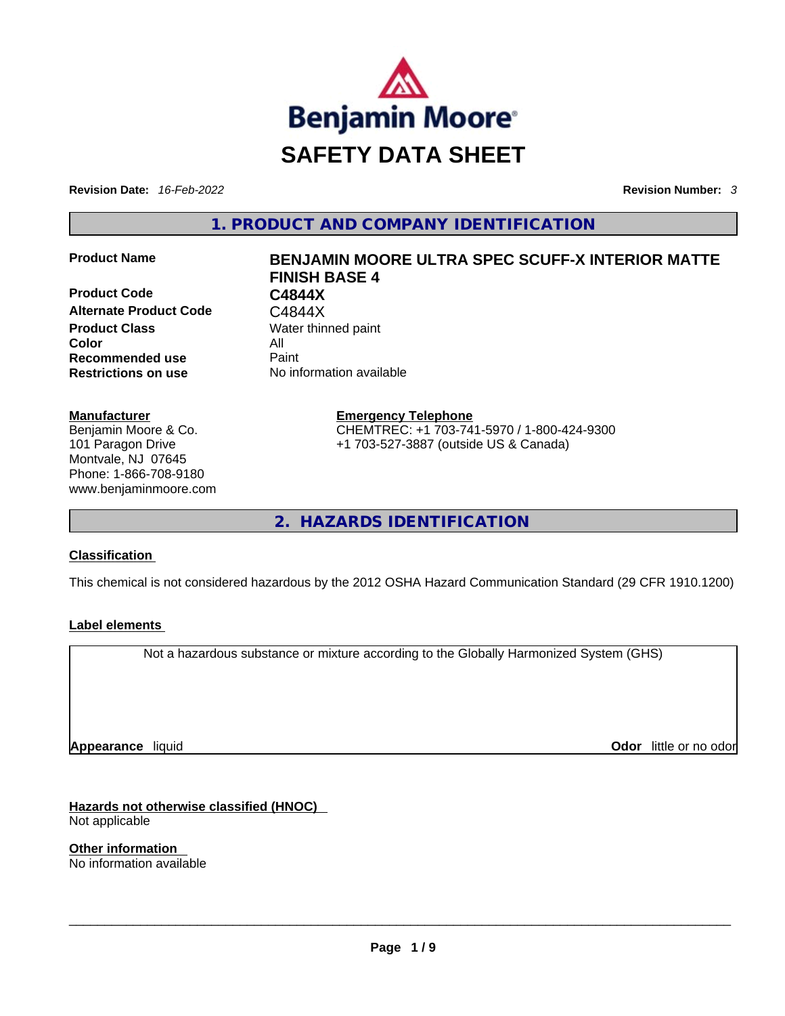

**Revision Date:** *16-Feb-2022* **Revision Number:** *3*

**1. PRODUCT AND COMPANY IDENTIFICATION** 

**Product Code C4844X Alternate Product Code** C4844X **Product Class Water thinned paint Color** All **Recommended use Paint Restrictions on use** No information available

#### **Manufacturer**

Benjamin Moore & Co. 101 Paragon Drive Montvale, NJ 07645 Phone: 1-866-708-9180 www.benjaminmoore.com

# **Product Name BENJAMIN MOORE ULTRA SPEC SCUFF-X INTERIOR MATTE FINISH BASE 4**

**Emergency Telephone** CHEMTREC: +1 703-741-5970 / 1-800-424-9300

+1 703-527-3887 (outside US & Canada)

**2. HAZARDS IDENTIFICATION** 

## **Classification**

This chemical is not considered hazardous by the 2012 OSHA Hazard Communication Standard (29 CFR 1910.1200)

## **Label elements**

Not a hazardous substance or mixture according to the Globally Harmonized System (GHS)

**Appearance** liquid

**Odor** little or no odor

**Hazards not otherwise classified (HNOC)**  Not applicable

**Other information**  No information available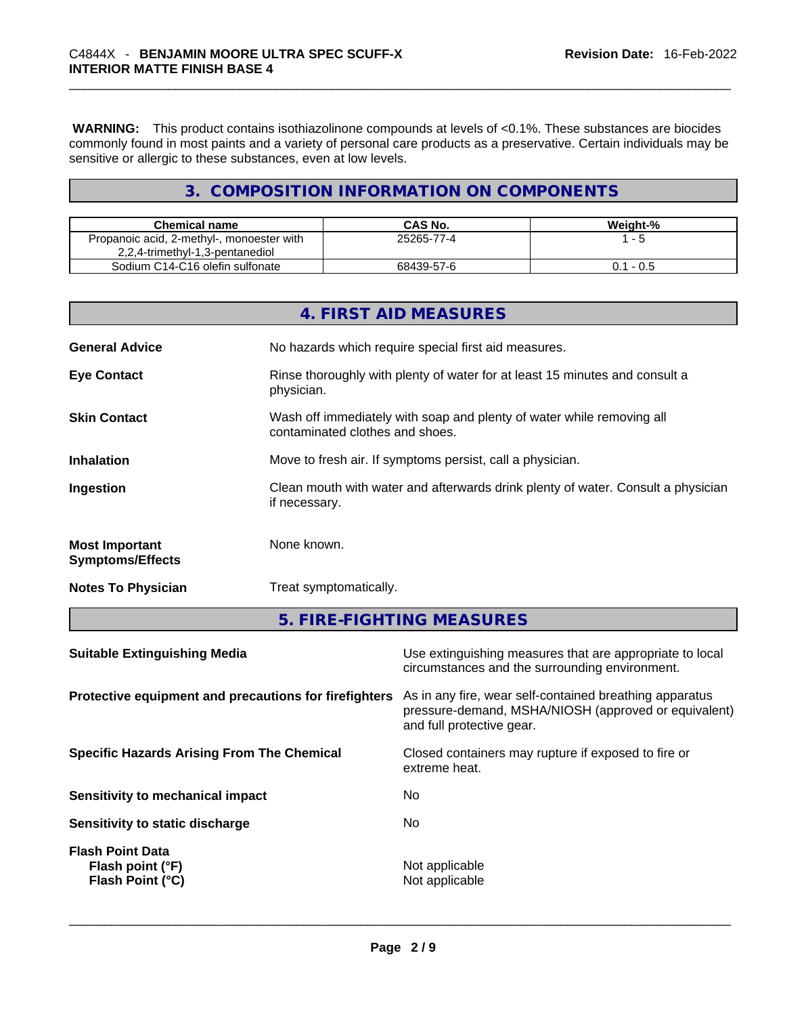**WARNING:** This product contains isothiazolinone compounds at levels of <0.1%. These substances are biocides commonly found in most paints and a variety of personal care products as a preservative. Certain individuals may be sensitive or allergic to these substances, even at low levels.

# **3. COMPOSITION INFORMATION ON COMPONENTS**

| <b>Chemical name</b>                      | CAS No.    | Weight-%  |
|-------------------------------------------|------------|-----------|
| Propanoic acid, 2-methyl-, monoester with | 25265-77-4 | - 5       |
| 2,2,4-trimethyl-1,3-pentanediol           |            |           |
| Sodium C14-C16 olefin sulfonate           | 68439-57-6 | 0.1 - 0.5 |

|                                                  | 4. FIRST AID MEASURES                                                                                    |
|--------------------------------------------------|----------------------------------------------------------------------------------------------------------|
| <b>General Advice</b>                            | No hazards which require special first aid measures.                                                     |
| <b>Eye Contact</b>                               | Rinse thoroughly with plenty of water for at least 15 minutes and consult a<br>physician.                |
| <b>Skin Contact</b>                              | Wash off immediately with soap and plenty of water while removing all<br>contaminated clothes and shoes. |
| <b>Inhalation</b>                                | Move to fresh air. If symptoms persist, call a physician.                                                |
| Ingestion                                        | Clean mouth with water and afterwards drink plenty of water. Consult a physician<br>if necessary.        |
| <b>Most Important</b><br><b>Symptoms/Effects</b> | None known.                                                                                              |
| <b>Notes To Physician</b>                        | Treat symptomatically.                                                                                   |

# **5. FIRE-FIGHTING MEASURES**

| <b>Suitable Extinguishing Media</b>                             | Use extinguishing measures that are appropriate to local<br>circumstances and the surrounding environment.                                   |
|-----------------------------------------------------------------|----------------------------------------------------------------------------------------------------------------------------------------------|
| Protective equipment and precautions for firefighters           | As in any fire, wear self-contained breathing apparatus<br>pressure-demand, MSHA/NIOSH (approved or equivalent)<br>and full protective gear. |
| <b>Specific Hazards Arising From The Chemical</b>               | Closed containers may rupture if exposed to fire or<br>extreme heat.                                                                         |
| <b>Sensitivity to mechanical impact</b>                         | No                                                                                                                                           |
| Sensitivity to static discharge                                 | No.                                                                                                                                          |
| <b>Flash Point Data</b><br>Flash point (°F)<br>Flash Point (°C) | Not applicable<br>Not applicable                                                                                                             |
|                                                                 |                                                                                                                                              |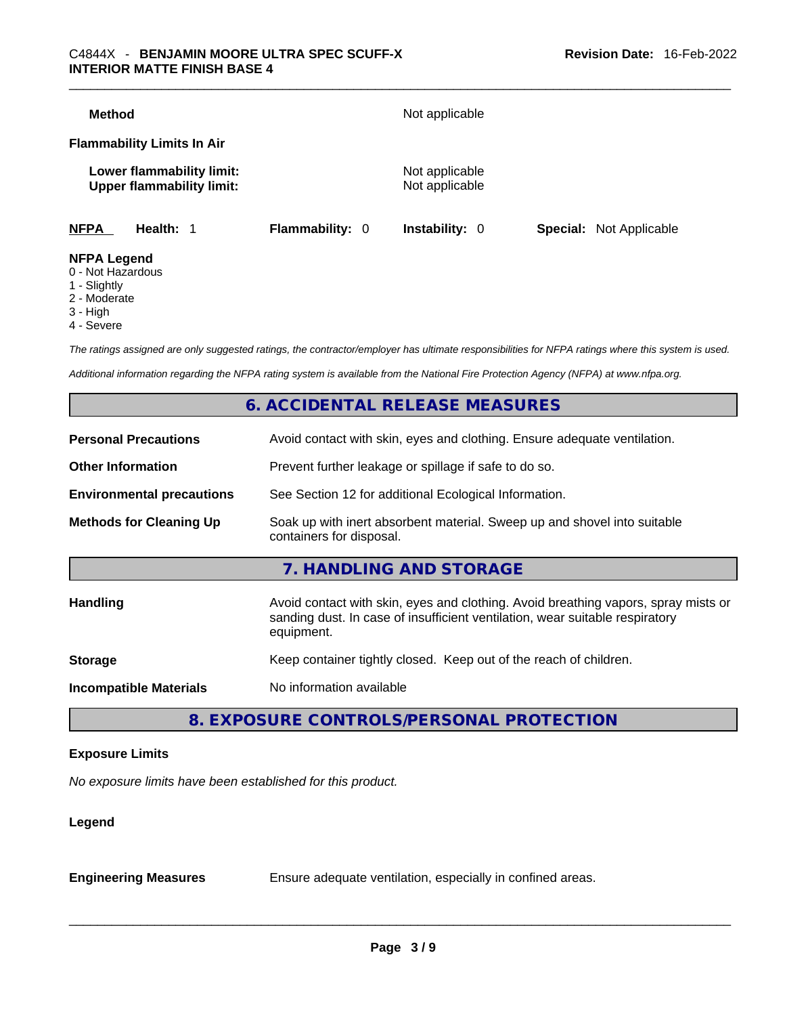| <b>Method</b>      |                                                               |                        | Not applicable                   |                                |
|--------------------|---------------------------------------------------------------|------------------------|----------------------------------|--------------------------------|
|                    | <b>Flammability Limits In Air</b>                             |                        |                                  |                                |
|                    | Lower flammability limit:<br><b>Upper flammability limit:</b> |                        | Not applicable<br>Not applicable |                                |
| <b>NFPA</b>        | Health: 1                                                     | <b>Flammability: 0</b> | Instability: 0                   | <b>Special:</b> Not Applicable |
| <b>NFPA Legend</b> |                                                               |                        |                                  |                                |

- 0 Not Hazardous
- 1 Slightly
- 2 Moderate
- 3 High
- 4 Severe

*The ratings assigned are only suggested ratings, the contractor/employer has ultimate responsibilities for NFPA ratings where this system is used.* 

*Additional information regarding the NFPA rating system is available from the National Fire Protection Agency (NFPA) at www.nfpa.org.* 

# **6. ACCIDENTAL RELEASE MEASURES**

| <b>Personal Precautions</b>      | Avoid contact with skin, eyes and clothing. Ensure adequate ventilation.                                                                                                         |
|----------------------------------|----------------------------------------------------------------------------------------------------------------------------------------------------------------------------------|
| <b>Other Information</b>         | Prevent further leakage or spillage if safe to do so.                                                                                                                            |
| <b>Environmental precautions</b> | See Section 12 for additional Ecological Information.                                                                                                                            |
| <b>Methods for Cleaning Up</b>   | Soak up with inert absorbent material. Sweep up and shovel into suitable<br>containers for disposal.                                                                             |
|                                  | 7. HANDLING AND STORAGE                                                                                                                                                          |
| Handling                         | Avoid contact with skin, eyes and clothing. Avoid breathing vapors, spray mists or<br>sanding dust. In case of insufficient ventilation, wear suitable respiratory<br>equipment. |
| <b>Storage</b>                   | Keep container tightly closed. Keep out of the reach of children.                                                                                                                |
| <b>Incompatible Materials</b>    | No information available                                                                                                                                                         |
|                                  |                                                                                                                                                                                  |

# **8. EXPOSURE CONTROLS/PERSONAL PROTECTION**

#### **Exposure Limits**

*No exposure limits have been established for this product.* 

#### **Legend**

**Engineering Measures** Ensure adequate ventilation, especially in confined areas.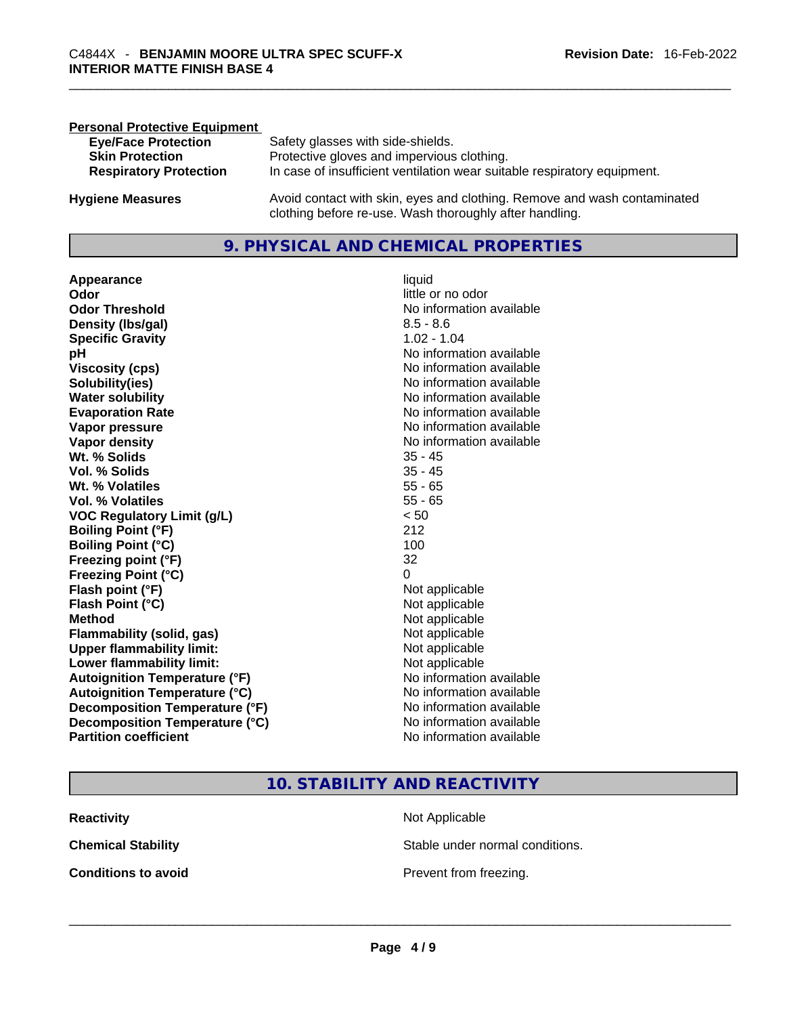| <b>Personal Protective Equipment</b> |                                                                          |
|--------------------------------------|--------------------------------------------------------------------------|
| <b>Eye/Face Protection</b>           | Safety glasses with side-shields.                                        |
| <b>Skin Protection</b>               | Protective gloves and impervious clothing.                               |
| <b>Respiratory Protection</b>        | In case of insufficient ventilation wear suitable respiratory equipment. |
| <b>Hygiene Measures</b>              | Avoid contact with skin, eyes and clothing. Remove and wash contaminated |
|                                      | clothing before re-use. Wash thoroughly after handling.                  |

# **9. PHYSICAL AND CHEMICAL PROPERTIES**

**Appearance** liquid **Odor Odor Odor Odor Odor** *little or no odor little or no odor* **Odor Threshold** No information available **Density (Ibs/gal)** 8.5 - 8.6<br> **Specific Gravity** 8.5 - 8.6 **Specific Gravity pH pH No** information available **Viscosity (cps) Viscosity (cps) No information available Solubility(ies)** No information available **Evaporation Rate No information available No information available Vapor pressure**  No information available **No information** available **Vapor density No information available No** information available **Wt. % Solids** 35 - 45 **Vol. % Solids** 35 - 45 **Wt. % Volatiles Vol. % Volatiles** 55 - 65<br> **VOC Requiatory Limit (q/L)**  $\leq 50$ **VOC** Regulatory Limit (g/L) **Boiling Point (°F)** 212 **Boiling Point (°C)** 100 **Freezing point (°F)** 32 **Freezing Point (°C)** 0 **Flash point (°F)** Not applicable **Flash Point (°C)** Not applicable **Method** Not applicable **Flammability (solid, gas)** Not applicable **Upper flammability limit:**<br> **Lower flammability limit:**<br>
Not applicable<br>
Not applicable **Lower flammability limit:**<br> **Autoignition Temperature (°F)** Not applicable Not applicable **Autoignition Temperature (°F)**<br> **Autoignition Temperature (°C)** No information available **Autoignition Temperature (°C) Decomposition Temperature (°F)** No information available **Decomposition Temperature (°C)** No information available **Partition coefficient Community Contract Contract Contract Contract Contract Contract Contract Contract Contract Contract Contract Contract Contract Contract Contract Contract Contract Contract Contract Contract Contr** 

**No information available** 

# **10. STABILITY AND REACTIVITY**

| <b>Reactivity</b>          | Not Applicable                  |
|----------------------------|---------------------------------|
| <b>Chemical Stability</b>  | Stable under normal conditions. |
| <b>Conditions to avoid</b> | Prevent from freezing.          |
|                            |                                 |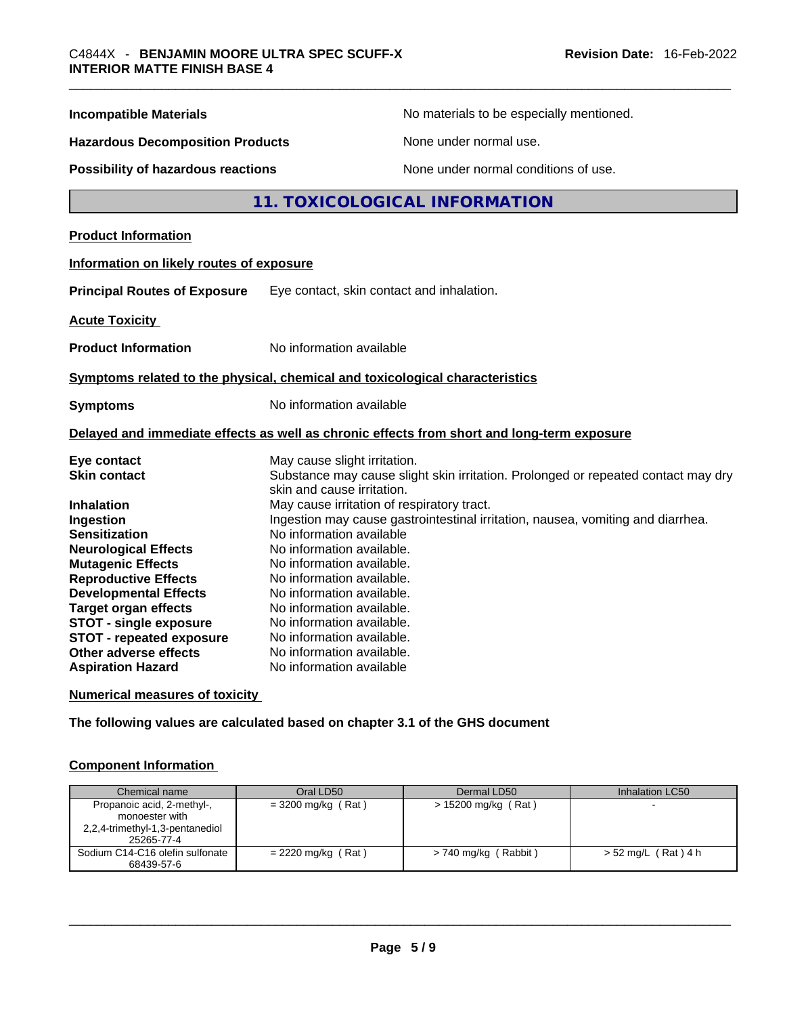| <b>Incompatible Materials</b>                                                                |                                                                                                                                                           | No materials to be especially mentioned.                                          |
|----------------------------------------------------------------------------------------------|-----------------------------------------------------------------------------------------------------------------------------------------------------------|-----------------------------------------------------------------------------------|
| <b>Hazardous Decomposition Products</b>                                                      | None under normal use.                                                                                                                                    |                                                                                   |
| Possibility of hazardous reactions                                                           |                                                                                                                                                           | None under normal conditions of use.                                              |
|                                                                                              | 11. TOXICOLOGICAL INFORMATION                                                                                                                             |                                                                                   |
| <b>Product Information</b>                                                                   |                                                                                                                                                           |                                                                                   |
| Information on likely routes of exposure                                                     |                                                                                                                                                           |                                                                                   |
| <b>Principal Routes of Exposure</b>                                                          | Eye contact, skin contact and inhalation.                                                                                                                 |                                                                                   |
| <b>Acute Toxicity</b>                                                                        |                                                                                                                                                           |                                                                                   |
| <b>Product Information</b>                                                                   | No information available                                                                                                                                  |                                                                                   |
|                                                                                              | Symptoms related to the physical, chemical and toxicological characteristics                                                                              |                                                                                   |
| <b>Symptoms</b>                                                                              | No information available                                                                                                                                  |                                                                                   |
|                                                                                              | Delayed and immediate effects as well as chronic effects from short and long-term exposure                                                                |                                                                                   |
| Eye contact<br><b>Skin contact</b>                                                           | May cause slight irritation.<br>skin and cause irritation.                                                                                                | Substance may cause slight skin irritation. Prolonged or repeated contact may dry |
| <b>Inhalation</b><br>Ingestion<br><b>Sensitization</b>                                       | May cause irritation of respiratory tract.<br>Ingestion may cause gastrointestinal irritation, nausea, vomiting and diarrhea.<br>No information available |                                                                                   |
| <b>Neurological Effects</b><br><b>Mutagenic Effects</b><br><b>Reproductive Effects</b>       | No information available.<br>No information available.<br>No information available.                                                                       |                                                                                   |
| <b>Developmental Effects</b><br><b>Target organ effects</b><br><b>STOT - single exposure</b> | No information available.<br>No information available.<br>No information available.                                                                       |                                                                                   |
| STOT - repeated exposure<br>Other adverse effects<br><b>Aspiration Hazard</b>                | No information available.<br>No information available.<br>No information available                                                                        |                                                                                   |

#### **Numerical measures of toxicity**

**The following values are calculated based on chapter 3.1 of the GHS document**

## **Component Information**

| Chemical name                   | Oral LD50            | Dermal LD50            | Inhalation LC50     |
|---------------------------------|----------------------|------------------------|---------------------|
| Propanoic acid, 2-methyl-,      | $=$ 3200 mg/kg (Rat) | > 15200 mg/kg (Rat)    |                     |
| monoester with                  |                      |                        |                     |
| 2,2,4-trimethyl-1,3-pentanediol |                      |                        |                     |
| 25265-77-4                      |                      |                        |                     |
| Sodium C14-C16 olefin sulfonate | $= 2220$ mg/kg (Rat) | $> 740$ mg/kg (Rabbit) | > 52 mg/L (Rat) 4 h |
| 68439-57-6                      |                      |                        |                     |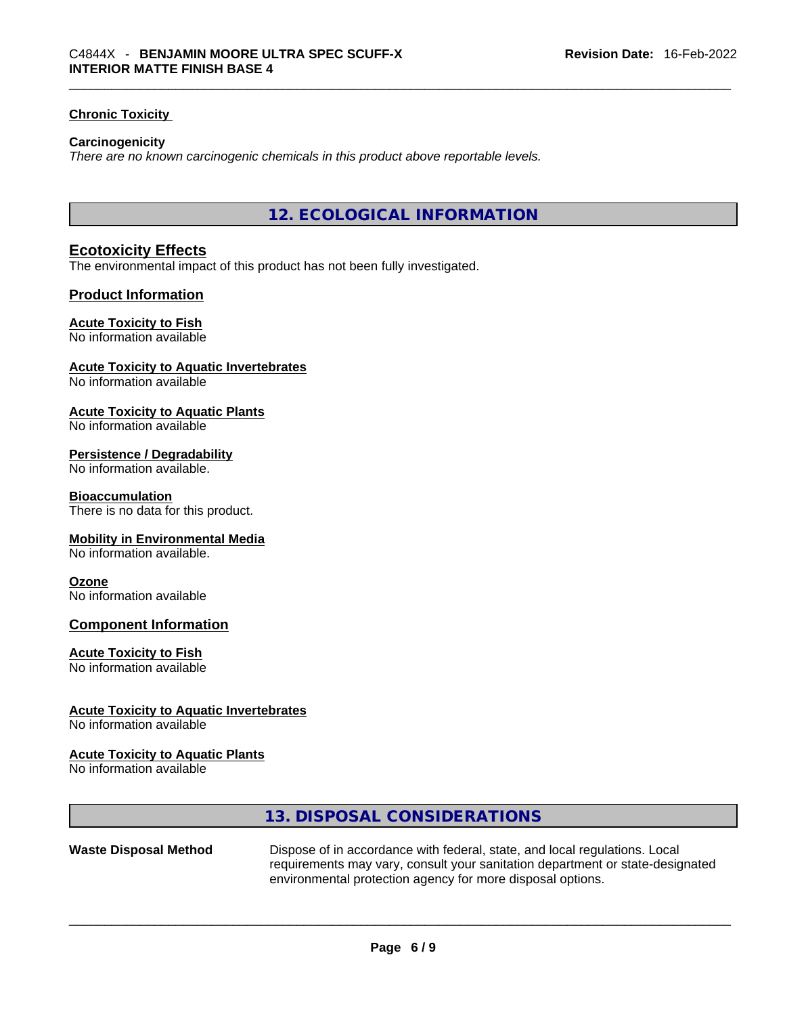#### **Chronic Toxicity**

#### **Carcinogenicity**

*There are no known carcinogenic chemicals in this product above reportable levels.* 

**12. ECOLOGICAL INFORMATION** 

## **Ecotoxicity Effects**

The environmental impact of this product has not been fully investigated.

#### **Product Information**

#### **Acute Toxicity to Fish**

#### No information available

#### **Acute Toxicity to Aquatic Invertebrates**

No information available

#### **Acute Toxicity to Aquatic Plants**

No information available

#### **Persistence / Degradability**

No information available.

#### **Bioaccumulation**

There is no data for this product.

#### **Mobility in Environmental Media**

No information available.

#### **Ozone**

No information available

#### **Component Information**

#### **Acute Toxicity to Fish**

No information available

#### **Acute Toxicity to Aquatic Invertebrates**

No information available

#### **Acute Toxicity to Aquatic Plants**

No information available

## **13. DISPOSAL CONSIDERATIONS**

**Waste Disposal Method** Dispose of in accordance with federal, state, and local regulations. Local requirements may vary, consult your sanitation department or state-designated environmental protection agency for more disposal options.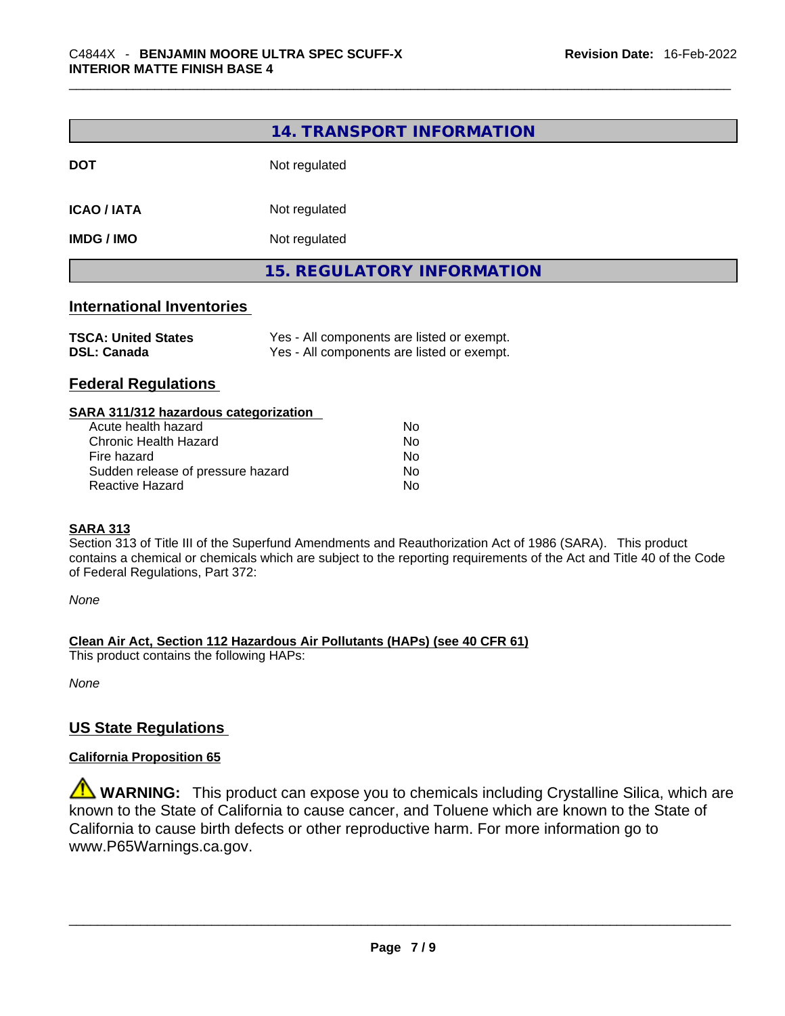|                                                  | 14. TRANSPORT INFORMATION                                                                |
|--------------------------------------------------|------------------------------------------------------------------------------------------|
| <b>DOT</b>                                       | Not regulated                                                                            |
| <b>ICAO / IATA</b>                               | Not regulated                                                                            |
| <b>IMDG / IMO</b>                                | Not regulated                                                                            |
|                                                  | <b>15. REGULATORY INFORMATION</b>                                                        |
| <b>International Inventories</b>                 |                                                                                          |
| <b>TSCA: United States</b><br><b>DSL: Canada</b> | Yes - All components are listed or exempt.<br>Yes - All components are listed or exempt. |
| <b>Federal Regulations</b>                       |                                                                                          |

| SARA 311/312 hazardous categorization |    |  |
|---------------------------------------|----|--|
| Acute health hazard                   | Nο |  |
| Chronic Health Hazard                 | No |  |
| Fire hazard                           | No |  |
| Sudden release of pressure hazard     | No |  |
| <b>Reactive Hazard</b>                | No |  |

#### **SARA 313**

Section 313 of Title III of the Superfund Amendments and Reauthorization Act of 1986 (SARA). This product contains a chemical or chemicals which are subject to the reporting requirements of the Act and Title 40 of the Code of Federal Regulations, Part 372:

*None*

**Clean Air Act,Section 112 Hazardous Air Pollutants (HAPs) (see 40 CFR 61)**

This product contains the following HAPs:

*None*

## **US State Regulations**

#### **California Proposition 65**

**WARNING:** This product can expose you to chemicals including Crystalline Silica, which are known to the State of California to cause cancer, and Toluene which are known to the State of California to cause birth defects or other reproductive harm. For more information go to www.P65Warnings.ca.gov.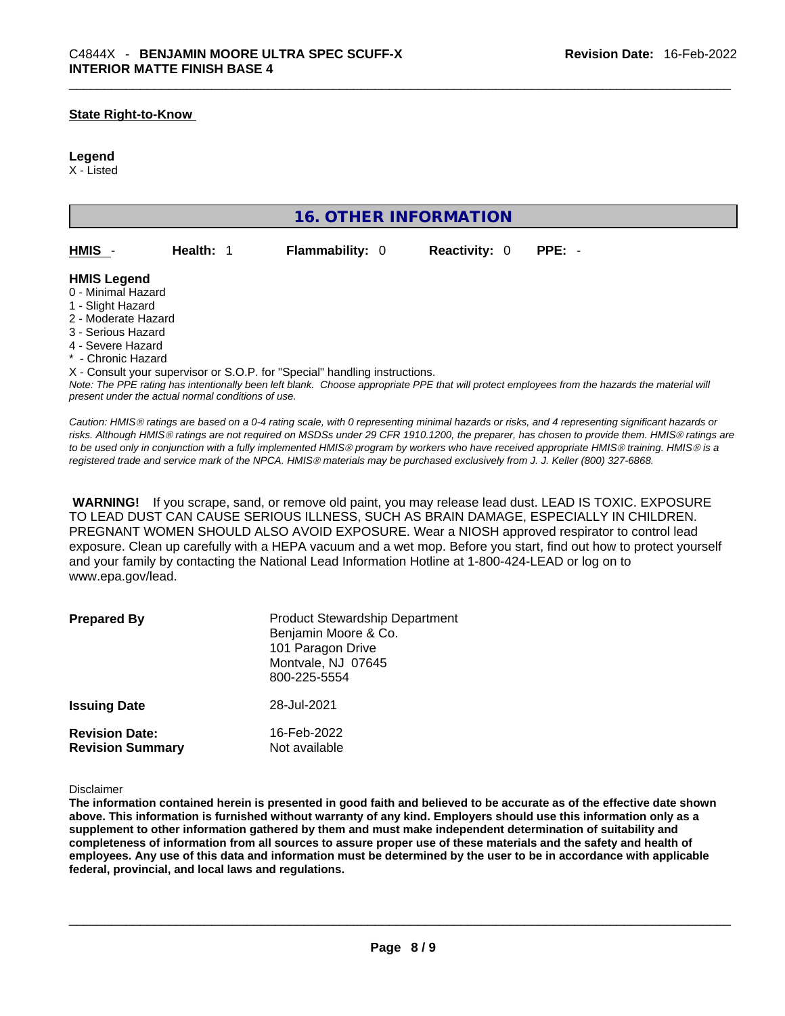#### **State Right-to-Know**

#### **Legend**

X - Listed

| <b>16. OTHER INFORMATION</b>                                                                                                                          |                                                    |                                                                            |                      |                                                                                                                                                |
|-------------------------------------------------------------------------------------------------------------------------------------------------------|----------------------------------------------------|----------------------------------------------------------------------------|----------------------|------------------------------------------------------------------------------------------------------------------------------------------------|
| HMIS -                                                                                                                                                | Health: 1                                          | <b>Flammability: 0</b>                                                     | <b>Reactivity: 0</b> | $PPE: -$                                                                                                                                       |
| <b>HMIS Legend</b><br>0 - Minimal Hazard<br>1 - Slight Hazard<br>2 - Moderate Hazard<br>3 - Serious Hazard<br>4 - Severe Hazard<br>* - Chronic Hazard | present under the actual normal conditions of use. | X - Consult your supervisor or S.O.P. for "Special" handling instructions. |                      | Note: The PPE rating has intentionally been left blank. Choose appropriate PPE that will protect employees from the hazards the material will  |
|                                                                                                                                                       |                                                    |                                                                            |                      | Caution: HMIS® ratings are based on a 0 A rating scale with 0 representing minimal bazards or risks, and A representing significant bazards or |

*Caution: HMISÒ ratings are based on a 0-4 rating scale, with 0 representing minimal hazards or risks, and 4 representing significant hazards or risks. Although HMISÒ ratings are not required on MSDSs under 29 CFR 1910.1200, the preparer, has chosen to provide them. HMISÒ ratings are to be used only in conjunction with a fully implemented HMISÒ program by workers who have received appropriate HMISÒ training. HMISÒ is a registered trade and service mark of the NPCA. HMISÒ materials may be purchased exclusively from J. J. Keller (800) 327-6868.* 

 **WARNING!** If you scrape, sand, or remove old paint, you may release lead dust. LEAD IS TOXIC. EXPOSURE TO LEAD DUST CAN CAUSE SERIOUS ILLNESS, SUCH AS BRAIN DAMAGE, ESPECIALLY IN CHILDREN. PREGNANT WOMEN SHOULD ALSO AVOID EXPOSURE.Wear a NIOSH approved respirator to control lead exposure. Clean up carefully with a HEPA vacuum and a wet mop. Before you start, find out how to protect yourself and your family by contacting the National Lead Information Hotline at 1-800-424-LEAD or log on to www.epa.gov/lead.

| <b>Prepared By</b>                               | <b>Product Stewardship Department</b><br>Benjamin Moore & Co.<br>101 Paragon Drive<br>Montvale, NJ 07645<br>800-225-5554 |
|--------------------------------------------------|--------------------------------------------------------------------------------------------------------------------------|
| <b>Issuing Date</b>                              | 28-Jul-2021                                                                                                              |
| <b>Revision Date:</b><br><b>Revision Summary</b> | 16-Feb-2022<br>Not available                                                                                             |

Disclaimer

The information contained herein is presented in good faith and believed to be accurate as of the effective date shown above. This information is furnished without warranty of any kind. Employers should use this information only as a **supplement to other information gathered by them and must make independent determination of suitability and** completeness of information from all sources to assure proper use of these materials and the safety and health of employees. Any use of this data and information must be determined by the user to be in accordance with applicable **federal, provincial, and local laws and regulations.**